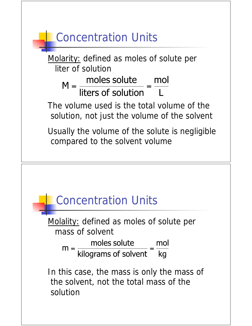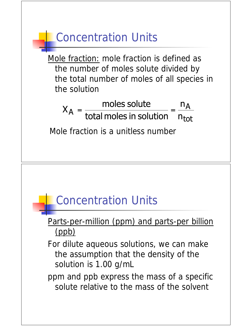

ppm and ppb express the mass of a specific solute relative to the mass of the solvent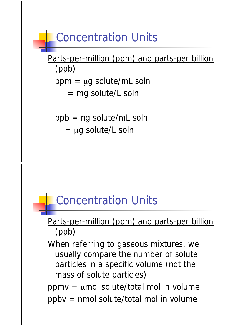

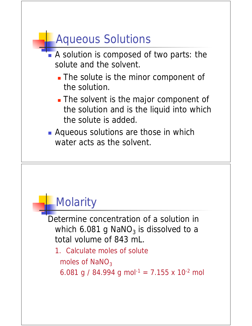# Aqueous Solutions

- A solution is composed of two parts: the solute and the solvent.
	- The solute is the minor component of the solution.
	- The solvent is the major component of the solution and is the liquid into which the solute is added.
- **Aqueous solutions are those in which** water acts as the solvent.

## **Molarity**

Determine concentration of a solution in which 6.081 g NaNO<sub>3</sub> is dissolved to a total volume of 843 mL.

- 1. Calculate moles of solute moles of  $NaNO<sub>3</sub>$ 
	- 6.081 g / 84.994 g mol<sup>-1</sup> = 7.155 x 10<sup>-2</sup> mol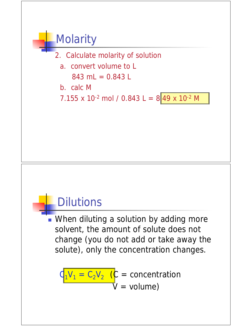### **Molarity**



 a. convert volume to L  $843$  mL = 0.843 L

b. calc M

7.155 x 10<sup>-2</sup> mol / 0.843 L = 849 x 10<sup>-2</sup> M

#### **Dilutions**

**Nhen diluting a solution by adding more** solvent, the amount of solute does not change (you do not add or take away the solute), only the concentration changes.

 $Q_1V_1 = C_2V_2$  ( $C =$  concentration  $V = volume$